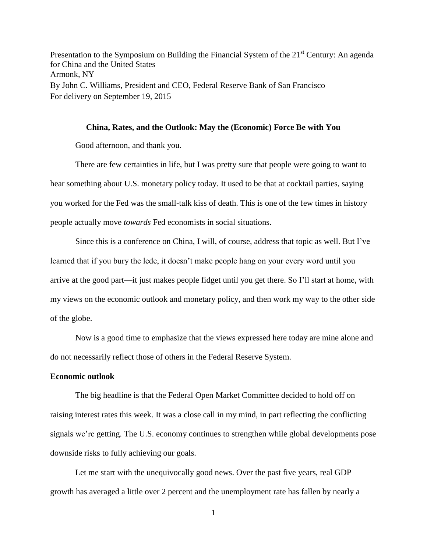Presentation to the Symposium on Building the Financial System of the  $21<sup>st</sup>$  Century: An agenda for China and the United States Armonk, NY By John C. Williams, President and CEO, Federal Reserve Bank of San Francisco For delivery on September 19, 2015

#### **China, Rates, and the Outlook: May the (Economic) Force Be with You**

Good afternoon, and thank you.

There are few certainties in life, but I was pretty sure that people were going to want to hear something about U.S. monetary policy today. It used to be that at cocktail parties, saying you worked for the Fed was the small-talk kiss of death. This is one of the few times in history people actually move *towards* Fed economists in social situations.

Since this is a conference on China, I will, of course, address that topic as well. But I've learned that if you bury the lede, it doesn't make people hang on your every word until you arrive at the good part—it just makes people fidget until you get there. So I'll start at home, with my views on the economic outlook and monetary policy, and then work my way to the other side of the globe.

Now is a good time to emphasize that the views expressed here today are mine alone and do not necessarily reflect those of others in the Federal Reserve System.

# **Economic outlook**

The big headline is that the Federal Open Market Committee decided to hold off on raising interest rates this week. It was a close call in my mind, in part reflecting the conflicting signals we're getting. The U.S. economy continues to strengthen while global developments pose downside risks to fully achieving our goals.

Let me start with the unequivocally good news. Over the past five years, real GDP growth has averaged a little over 2 percent and the unemployment rate has fallen by nearly a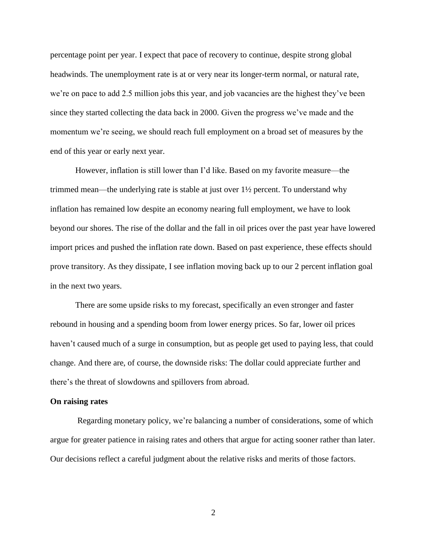percentage point per year. I expect that pace of recovery to continue, despite strong global headwinds. The unemployment rate is at or very near its longer-term normal, or natural rate, we're on pace to add 2.5 million jobs this year, and job vacancies are the highest they've been since they started collecting the data back in 2000. Given the progress we've made and the momentum we're seeing, we should reach full employment on a broad set of measures by the end of this year or early next year.

However, inflation is still lower than I'd like. Based on my favorite measure—the trimmed mean—the underlying rate is stable at just over 1½ percent. To understand why inflation has remained low despite an economy nearing full employment, we have to look beyond our shores. The rise of the dollar and the fall in oil prices over the past year have lowered import prices and pushed the inflation rate down. Based on past experience, these effects should prove transitory. As they dissipate, I see inflation moving back up to our 2 percent inflation goal in the next two years.

There are some upside risks to my forecast, specifically an even stronger and faster rebound in housing and a spending boom from lower energy prices. So far, lower oil prices haven't caused much of a surge in consumption, but as people get used to paying less, that could change. And there are, of course, the downside risks: The dollar could appreciate further and there's the threat of slowdowns and spillovers from abroad.

## **On raising rates**

Regarding monetary policy, we're balancing a number of considerations, some of which argue for greater patience in raising rates and others that argue for acting sooner rather than later. Our decisions reflect a careful judgment about the relative risks and merits of those factors.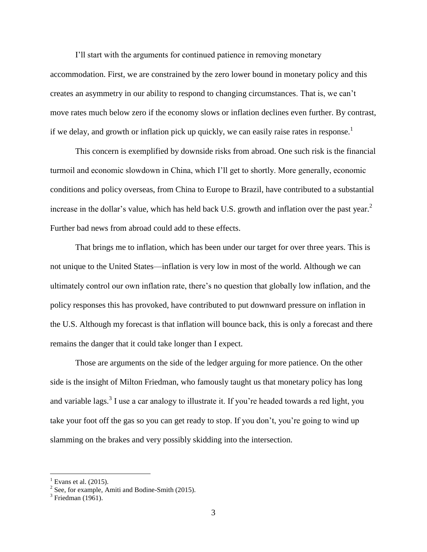I'll start with the arguments for continued patience in removing monetary accommodation. First, we are constrained by the zero lower bound in monetary policy and this creates an asymmetry in our ability to respond to changing circumstances. That is, we can't move rates much below zero if the economy slows or inflation declines even further. By contrast, if we delay, and growth or inflation pick up quickly, we can easily raise rates in response.<sup>1</sup>

This concern is exemplified by downside risks from abroad. One such risk is the financial turmoil and economic slowdown in China, which I'll get to shortly. More generally, economic conditions and policy overseas, from China to Europe to Brazil, have contributed to a substantial increase in the dollar's value, which has held back U.S. growth and inflation over the past year.<sup>2</sup> Further bad news from abroad could add to these effects.

That brings me to inflation, which has been under our target for over three years. This is not unique to the United States—inflation is very low in most of the world. Although we can ultimately control our own inflation rate, there's no question that globally low inflation, and the policy responses this has provoked, have contributed to put downward pressure on inflation in the U.S. Although my forecast is that inflation will bounce back, this is only a forecast and there remains the danger that it could take longer than I expect.

Those are arguments on the side of the ledger arguing for more patience. On the other side is the insight of Milton Friedman, who famously taught us that monetary policy has long and variable lags.<sup>3</sup> I use a car analogy to illustrate it. If you're headed towards a red light, you take your foot off the gas so you can get ready to stop. If you don't, you're going to wind up slamming on the brakes and very possibly skidding into the intersection.

 $\overline{a}$ 

<sup>&</sup>lt;sup>1</sup> Evans et al. (2015).<br><sup>2</sup> See, for example, Amiti and Bodine-Smith (2015).

 $3$  Friedman (1961).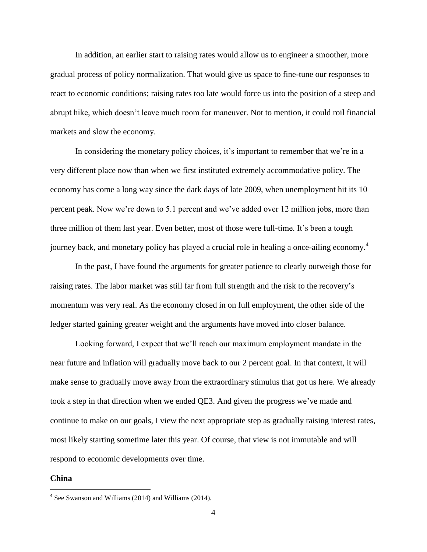In addition, an earlier start to raising rates would allow us to engineer a smoother, more gradual process of policy normalization. That would give us space to fine-tune our responses to react to economic conditions; raising rates too late would force us into the position of a steep and abrupt hike, which doesn't leave much room for maneuver. Not to mention, it could roil financial markets and slow the economy.

In considering the monetary policy choices, it's important to remember that we're in a very different place now than when we first instituted extremely accommodative policy. The economy has come a long way since the dark days of late 2009, when unemployment hit its 10 percent peak. Now we're down to 5.1 percent and we've added over 12 million jobs, more than three million of them last year. Even better, most of those were full-time. It's been a tough journey back, and monetary policy has played a crucial role in healing a once-ailing economy.<sup>4</sup>

In the past, I have found the arguments for greater patience to clearly outweigh those for raising rates. The labor market was still far from full strength and the risk to the recovery's momentum was very real. As the economy closed in on full employment, the other side of the ledger started gaining greater weight and the arguments have moved into closer balance.

Looking forward, I expect that we'll reach our maximum employment mandate in the near future and inflation will gradually move back to our 2 percent goal. In that context, it will make sense to gradually move away from the extraordinary stimulus that got us here. We already took a step in that direction when we ended QE3. And given the progress we've made and continue to make on our goals, I view the next appropriate step as gradually raising interest rates, most likely starting sometime later this year. Of course, that view is not immutable and will respond to economic developments over time.

#### **China**

 4 See Swanson and Williams (2014) and Williams (2014).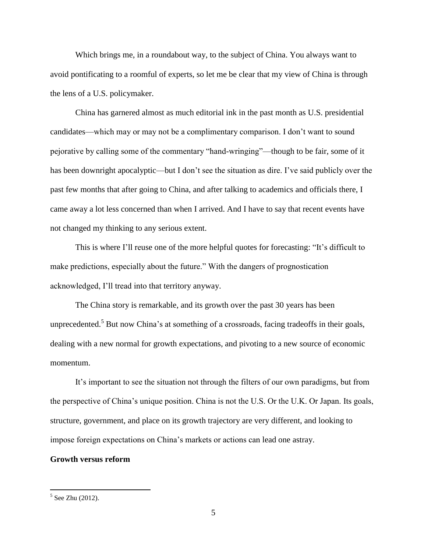Which brings me, in a roundabout way, to the subject of China. You always want to avoid pontificating to a roomful of experts, so let me be clear that my view of China is through the lens of a U.S. policymaker.

China has garnered almost as much editorial ink in the past month as U.S. presidential candidates—which may or may not be a complimentary comparison. I don't want to sound pejorative by calling some of the commentary "hand-wringing"—though to be fair, some of it has been downright apocalyptic—but I don't see the situation as dire. I've said publicly over the past few months that after going to China, and after talking to academics and officials there, I came away a lot less concerned than when I arrived. And I have to say that recent events have not changed my thinking to any serious extent.

This is where I'll reuse one of the more helpful quotes for forecasting: "It's difficult to make predictions, especially about the future." With the dangers of prognostication acknowledged, I'll tread into that territory anyway.

The China story is remarkable, and its growth over the past 30 years has been unprecedented.<sup>5</sup> But now China's at something of a crossroads, facing tradeoffs in their goals, dealing with a new normal for growth expectations, and pivoting to a new source of economic momentum.

It's important to see the situation not through the filters of our own paradigms, but from the perspective of China's unique position. China is not the U.S. Or the U.K. Or Japan. Its goals, structure, government, and place on its growth trajectory are very different, and looking to impose foreign expectations on China's markets or actions can lead one astray.

## **Growth versus reform**

<sup>&</sup>lt;sup>5</sup> See Zhu (2012).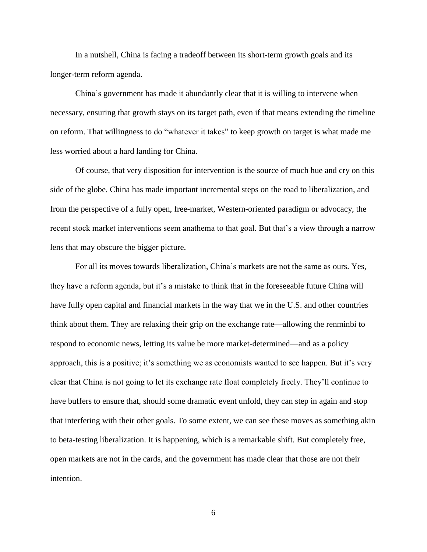In a nutshell, China is facing a tradeoff between its short-term growth goals and its longer-term reform agenda.

China's government has made it abundantly clear that it is willing to intervene when necessary, ensuring that growth stays on its target path, even if that means extending the timeline on reform. That willingness to do "whatever it takes" to keep growth on target is what made me less worried about a hard landing for China.

Of course, that very disposition for intervention is the source of much hue and cry on this side of the globe. China has made important incremental steps on the road to liberalization, and from the perspective of a fully open, free-market, Western-oriented paradigm or advocacy, the recent stock market interventions seem anathema to that goal. But that's a view through a narrow lens that may obscure the bigger picture.

For all its moves towards liberalization, China's markets are not the same as ours. Yes, they have a reform agenda, but it's a mistake to think that in the foreseeable future China will have fully open capital and financial markets in the way that we in the U.S. and other countries think about them. They are relaxing their grip on the exchange rate—allowing the renminbi to respond to economic news, letting its value be more market-determined—and as a policy approach, this is a positive; it's something we as economists wanted to see happen. But it's very clear that China is not going to let its exchange rate float completely freely. They'll continue to have buffers to ensure that, should some dramatic event unfold, they can step in again and stop that interfering with their other goals. To some extent, we can see these moves as something akin to beta-testing liberalization. It is happening, which is a remarkable shift. But completely free, open markets are not in the cards, and the government has made clear that those are not their intention.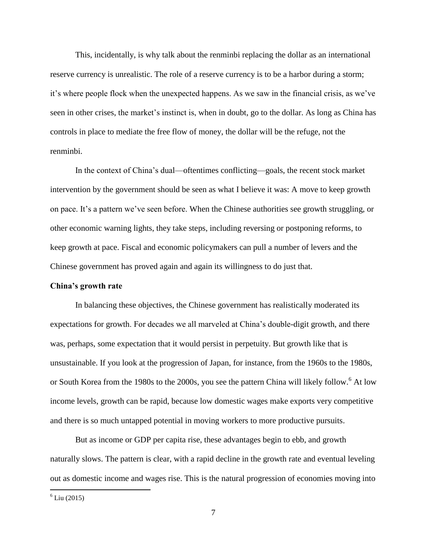This, incidentally, is why talk about the renminbi replacing the dollar as an international reserve currency is unrealistic. The role of a reserve currency is to be a harbor during a storm; it's where people flock when the unexpected happens. As we saw in the financial crisis, as we've seen in other crises, the market's instinct is, when in doubt, go to the dollar. As long as China has controls in place to mediate the free flow of money, the dollar will be the refuge, not the renminbi.

In the context of China's dual—oftentimes conflicting—goals, the recent stock market intervention by the government should be seen as what I believe it was: A move to keep growth on pace. It's a pattern we've seen before. When the Chinese authorities see growth struggling, or other economic warning lights, they take steps, including reversing or postponing reforms, to keep growth at pace. Fiscal and economic policymakers can pull a number of levers and the Chinese government has proved again and again its willingness to do just that.

# **China's growth rate**

In balancing these objectives, the Chinese government has realistically moderated its expectations for growth. For decades we all marveled at China's double-digit growth, and there was, perhaps, some expectation that it would persist in perpetuity. But growth like that is unsustainable. If you look at the progression of Japan, for instance, from the 1960s to the 1980s, or South Korea from the 1980s to the 2000s, you see the pattern China will likely follow.<sup>6</sup> At low income levels, growth can be rapid, because low domestic wages make exports very competitive and there is so much untapped potential in moving workers to more productive pursuits.

But as income or GDP per capita rise, these advantages begin to ebb, and growth naturally slows. The pattern is clear, with a rapid decline in the growth rate and eventual leveling out as domestic income and wages rise. This is the natural progression of economies moving into

 $6$  Liu (2015)

 $\overline{a}$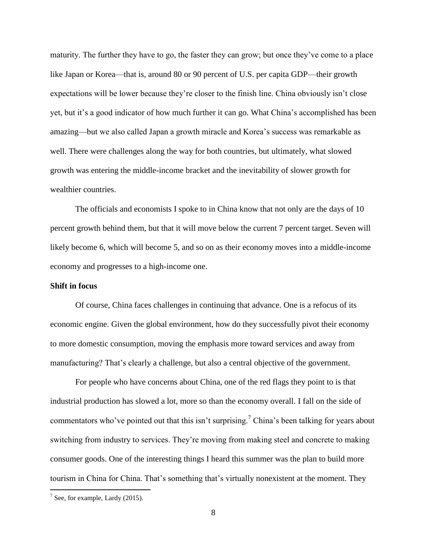maturity. The further they have to go, the faster they can grow; but once they've come to a place like Japan or Korea—that is, around 80 or 90 percent of U.S. per capita GDP—their growth expectations will be lower because they're closer to the finish line. China obviously isn't close yet, but it's a good indicator of how much further it can go. What China's accomplished has been amazing—but we also called Japan a growth miracle and Korea's success was remarkable as well. There were challenges along the way for both countries, but ultimately, what slowed growth was entering the middle-income bracket and the inevitability of slower growth for wealthier countries.

The officials and economists I spoke to in China know that not only are the days of 10 percent growth behind them, but that it will move below the current 7 percent target. Seven will likely become 6, which will become 5, and so on as their economy moves into a middle-income economy and progresses to a high-income one.

# **Shift in focus**

Of course, China faces challenges in continuing that advance. One is a refocus of its economic engine. Given the global environment, how do they successfully pivot their economy to more domestic consumption, moving the emphasis more toward services and away from manufacturing? That's clearly a challenge, but also a central objective of the government.

For people who have concerns about China, one of the red flags they point to is that industrial production has slowed a lot, more so than the economy overall. I fall on the side of commentators who've pointed out that this isn't surprising.<sup>7</sup> China's been talking for years about switching from industry to services. They're moving from making steel and concrete to making consumer goods. One of the interesting things I heard this summer was the plan to build more tourism in China for China. That's something that's virtually nonexistent at the moment. They

 $\overline{a}$ 

 $7$  See, for example, Lardy (2015).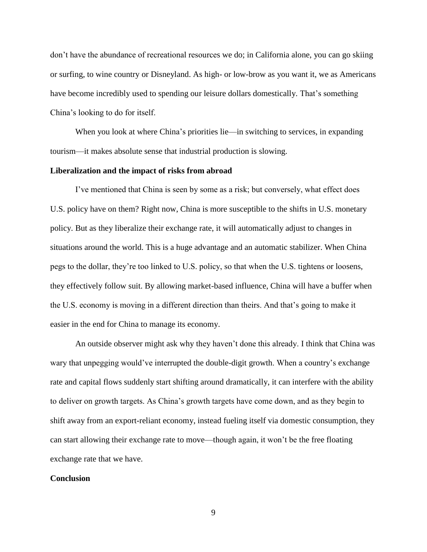don't have the abundance of recreational resources we do; in California alone, you can go skiing or surfing, to wine country or Disneyland. As high- or low-brow as you want it, we as Americans have become incredibly used to spending our leisure dollars domestically. That's something China's looking to do for itself.

When you look at where China's priorities lie—in switching to services, in expanding tourism—it makes absolute sense that industrial production is slowing.

#### **Liberalization and the impact of risks from abroad**

I've mentioned that China is seen by some as a risk; but conversely, what effect does U.S. policy have on them? Right now, China is more susceptible to the shifts in U.S. monetary policy. But as they liberalize their exchange rate, it will automatically adjust to changes in situations around the world. This is a huge advantage and an automatic stabilizer. When China pegs to the dollar, they're too linked to U.S. policy, so that when the U.S. tightens or loosens, they effectively follow suit. By allowing market-based influence, China will have a buffer when the U.S. economy is moving in a different direction than theirs. And that's going to make it easier in the end for China to manage its economy.

An outside observer might ask why they haven't done this already. I think that China was wary that unpegging would've interrupted the double-digit growth. When a country's exchange rate and capital flows suddenly start shifting around dramatically, it can interfere with the ability to deliver on growth targets. As China's growth targets have come down, and as they begin to shift away from an export-reliant economy, instead fueling itself via domestic consumption, they can start allowing their exchange rate to move—though again, it won't be the free floating exchange rate that we have.

#### **Conclusion**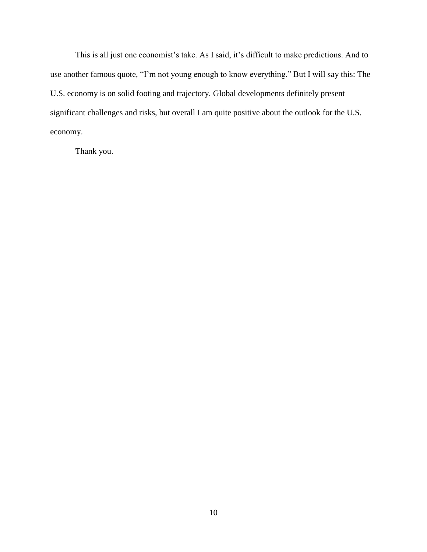This is all just one economist's take. As I said, it's difficult to make predictions. And to use another famous quote, "I'm not young enough to know everything." But I will say this: The U.S. economy is on solid footing and trajectory. Global developments definitely present significant challenges and risks, but overall I am quite positive about the outlook for the U.S. economy.

Thank you.